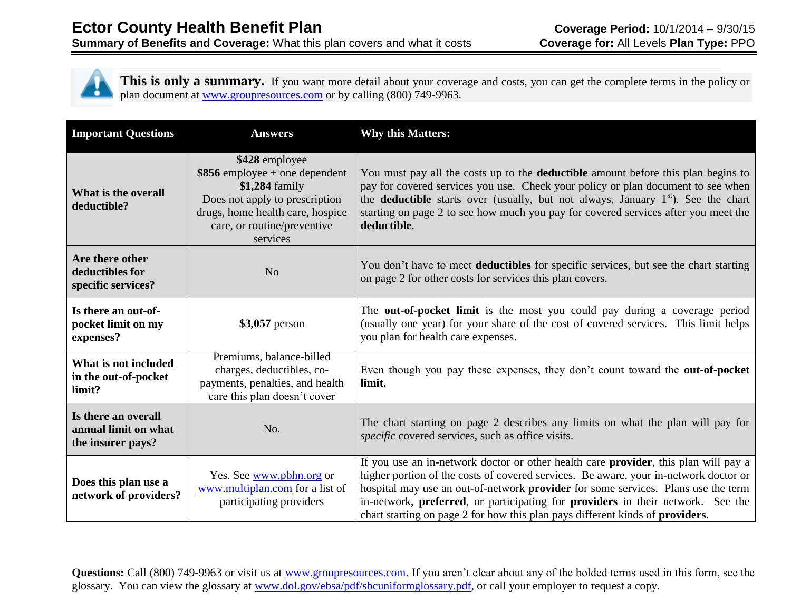This is only a summary. If you want more detail about your coverage and costs, you can get the complete terms in the policy or plan document at [www.groupresources.com](http://www.groupresources.com/) or by calling (800) 749-9963.

| <b>Important Questions</b>                                       | <b>Answers</b>                                                                                                                                                                       | <b>Why this Matters:</b>                                                                                                                                                                                                                                                                                                                                                                                                             |  |
|------------------------------------------------------------------|--------------------------------------------------------------------------------------------------------------------------------------------------------------------------------------|--------------------------------------------------------------------------------------------------------------------------------------------------------------------------------------------------------------------------------------------------------------------------------------------------------------------------------------------------------------------------------------------------------------------------------------|--|
| What is the overall<br>deductible?                               | \$428 employee<br>$$856$ employee + one dependent<br>\$1,284 family<br>Does not apply to prescription<br>drugs, home health care, hospice<br>care, or routine/preventive<br>services | You must pay all the costs up to the <b>deductible</b> amount before this plan begins to<br>pay for covered services you use. Check your policy or plan document to see when<br>the <b>deductible</b> starts over (usually, but not always, January $1st$ ). See the chart<br>starting on page 2 to see how much you pay for covered services after you meet the<br>deductible.                                                      |  |
| Are there other<br>deductibles for<br>specific services?         | N <sub>o</sub>                                                                                                                                                                       | You don't have to meet deductibles for specific services, but see the chart starting<br>on page 2 for other costs for services this plan covers.                                                                                                                                                                                                                                                                                     |  |
| Is there an out-of-<br>pocket limit on my<br>expenses?           | \$3,057 person                                                                                                                                                                       | The out-of-pocket limit is the most you could pay during a coverage period<br>(usually one year) for your share of the cost of covered services. This limit helps<br>you plan for health care expenses.                                                                                                                                                                                                                              |  |
| What is not included<br>in the out-of-pocket<br>limit?           | Premiums, balance-billed<br>charges, deductibles, co-<br>payments, penalties, and health<br>care this plan doesn't cover                                                             | Even though you pay these expenses, they don't count toward the <b>out-of-pocket</b><br>limit.                                                                                                                                                                                                                                                                                                                                       |  |
| Is there an overall<br>annual limit on what<br>the insurer pays? | No.                                                                                                                                                                                  | The chart starting on page 2 describes any limits on what the plan will pay for<br>specific covered services, such as office visits.                                                                                                                                                                                                                                                                                                 |  |
| Does this plan use a<br>network of providers?                    | Yes. See www.pbhn.org or<br>www.multiplan.com for a list of<br>participating providers                                                                                               | If you use an in-network doctor or other health care provider, this plan will pay a<br>higher portion of the costs of covered services. Be aware, your in-network doctor or<br>hospital may use an out-of-network provider for some services. Plans use the term<br>in-network, preferred, or participating for providers in their network. See the<br>chart starting on page 2 for how this plan pays different kinds of providers. |  |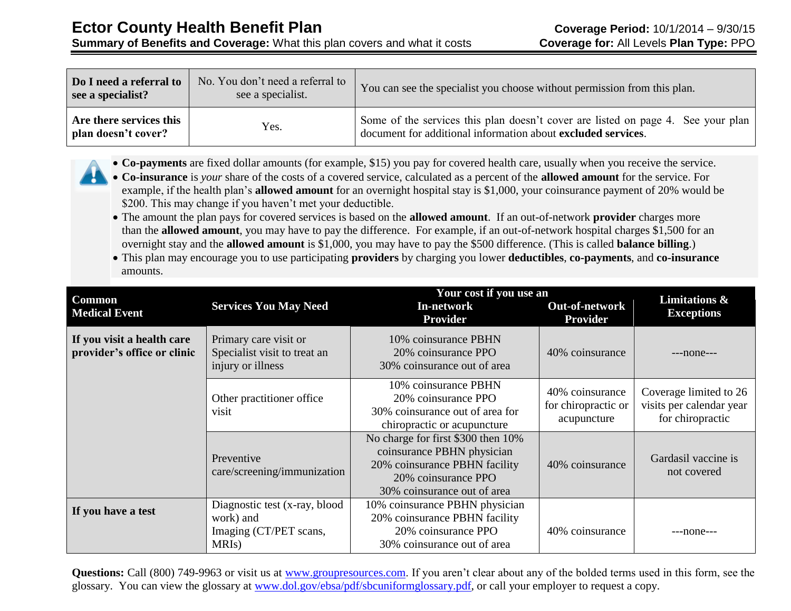**Summary of Benefits and Coverage:** What this plan covers and what it costs **Coverage for:** All Levels **Plan Type:** PPO

| Do I need a referral to<br>see a specialist?   | No. You don't need a referral to<br>see a specialist. | You can see the specialist you choose without permission from this plan.                                                                         |  |
|------------------------------------------------|-------------------------------------------------------|--------------------------------------------------------------------------------------------------------------------------------------------------|--|
| Are there services this<br>plan doesn't cover? | Yes.                                                  | Some of the services this plan doesn't cover are listed on page 4. See your plan<br>document for additional information about excluded services. |  |



 **Co-insurance** is *your* share of the costs of a covered service, calculated as a percent of the **allowed amount** for the service. For example, if the health plan's **allowed amount** for an overnight hospital stay is \$1,000, your coinsurance payment of 20% would be \$200. This may change if you haven't met your deductible.

- The amount the plan pays for covered services is based on the **allowed amount**. If an out-of-network **provider** charges more than the **allowed amount**, you may have to pay the difference. For example, if an out-of-network hospital charges \$1,500 for an overnight stay and the **allowed amount** is \$1,000, you may have to pay the \$500 difference. (This is called **balance billing**.)
- This plan may encourage you to use participating **providers** by charging you lower **deductibles**, **co-payments**, and **co-insurance** amounts.

|                                                           |                                                                                            | Your cost if you use an                                                                                                                                 | Limitations &                                         |                                                                        |
|-----------------------------------------------------------|--------------------------------------------------------------------------------------------|---------------------------------------------------------------------------------------------------------------------------------------------------------|-------------------------------------------------------|------------------------------------------------------------------------|
| <b>Common</b><br><b>Medical Event</b>                     | <b>Services You May Need</b>                                                               | In-network<br><b>Provider</b>                                                                                                                           | <b>Out-of-network</b><br><b>Provider</b>              | <b>Exceptions</b>                                                      |
| If you visit a health care<br>provider's office or clinic | Primary care visit or<br>Specialist visit to treat an<br>injury or illness                 | 10% coinsurance PBHN<br>20% coinsurance PPO<br>30% coinsurance out of area                                                                              | 40% coinsurance                                       | $---none---$                                                           |
|                                                           | Other practitioner office<br>visit                                                         | 10% coinsurance PBHN<br>20% coinsurance PPO<br>30% coinsurance out of area for<br>chiropractic or acupuncture                                           | 40% coinsurance<br>for chiropractic or<br>acupuncture | Coverage limited to 26<br>visits per calendar year<br>for chiropractic |
|                                                           | Preventive<br>care/screening/immunization                                                  | No charge for first \$300 then 10%<br>coinsurance PBHN physician<br>20% coinsurance PBHN facility<br>20% coinsurance PPO<br>30% coinsurance out of area | 40% coinsurance                                       | Gardasil vaccine is<br>not covered                                     |
| If you have a test                                        | Diagnostic test (x-ray, blood<br>work) and<br>Imaging (CT/PET scans,<br>MRI <sub>s</sub> ) | 10% coinsurance PBHN physician<br>20% coinsurance PBHN facility<br>20% coinsurance PPO<br>30% coinsurance out of area                                   | 40% coinsurance                                       | $---none---$                                                           |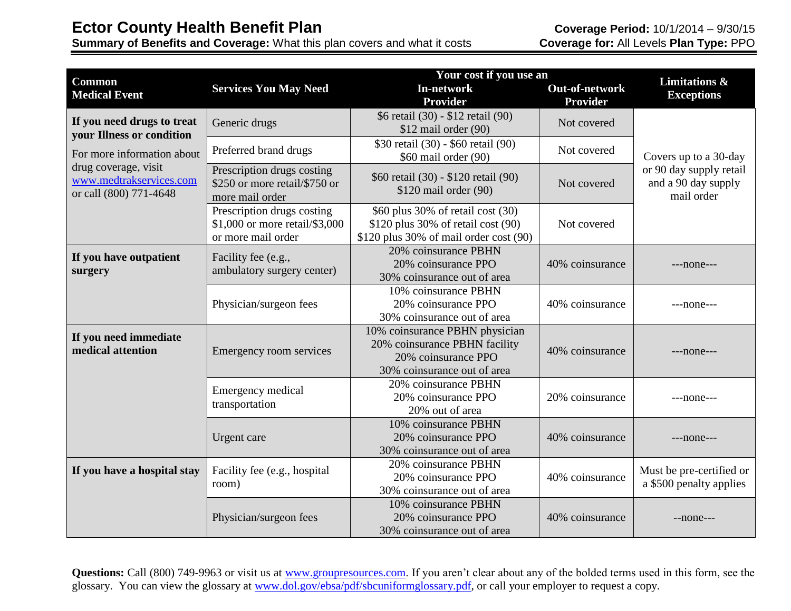**Summary of Benefits and Coverage:** What this plan covers and what it costs **Coverage for:** All Levels **Plan Type:** PPO

| <b>Common</b>                                   |                                     | Your cost if you use an<br><b>Limitations &amp;</b> |                       |                          |  |
|-------------------------------------------------|-------------------------------------|-----------------------------------------------------|-----------------------|--------------------------|--|
| <b>Medical Event</b>                            | <b>Services You May Need</b>        | In-network                                          | <b>Out-of-network</b> | <b>Exceptions</b>        |  |
|                                                 |                                     | <b>Provider</b>                                     | <b>Provider</b>       |                          |  |
| If you need drugs to treat                      | Generic drugs                       | \$6 retail (30) - \$12 retail (90)                  | Not covered           |                          |  |
| <b>your Illness or condition</b>                |                                     | \$12 mail order (90)                                |                       |                          |  |
|                                                 | Preferred brand drugs               | \$30 retail (30) - \$60 retail (90)                 | Not covered           |                          |  |
| For more information about                      |                                     | \$60 mail order (90)                                |                       | Covers up to a 30-day    |  |
| drug coverage, visit<br>www.medtrakservices.com | Prescription drugs costing          | \$60 retail (30) - \$120 retail (90)                |                       | or 90 day supply retail  |  |
| or call (800) 771-4648                          | \$250 or more retail/\$750 or       | $$120$ mail order (90)                              | Not covered           | and a 90 day supply      |  |
|                                                 | more mail order                     |                                                     |                       | mail order               |  |
|                                                 | Prescription drugs costing          | \$60 plus 30% of retail cost (30)                   |                       |                          |  |
|                                                 | \$1,000 or more retail/\$3,000      | \$120 plus 30% of retail cost (90)                  | Not covered           |                          |  |
|                                                 | or more mail order                  | $$120$ plus 30% of mail order cost (90)             |                       |                          |  |
| If you have outpatient                          | Facility fee (e.g.,                 | 20% coinsurance PBHN                                |                       |                          |  |
| surgery                                         | ambulatory surgery center)          | 20% coinsurance PPO                                 | 40% coinsurance       | $---none---$             |  |
|                                                 |                                     | 30% coinsurance out of area                         |                       |                          |  |
|                                                 |                                     | 10% coinsurance PBHN                                |                       |                          |  |
|                                                 | Physician/surgeon fees              | 20% coinsurance PPO                                 | 40% coinsurance       | $---none---$             |  |
|                                                 |                                     | 30% coinsurance out of area                         |                       |                          |  |
| If you need immediate                           |                                     | 10% coinsurance PBHN physician                      |                       |                          |  |
| medical attention                               | <b>Emergency room services</b>      | 20% coinsurance PBHN facility                       | 40% coinsurance       | $---none---$             |  |
|                                                 |                                     | 20% coinsurance PPO                                 |                       |                          |  |
|                                                 |                                     | 30% coinsurance out of area                         |                       |                          |  |
|                                                 | Emergency medical<br>transportation | 20% coinsurance PBHN                                |                       |                          |  |
|                                                 |                                     | 20% coinsurance PPO                                 | 20% coinsurance       | $---none---$             |  |
|                                                 |                                     | 20% out of area                                     |                       |                          |  |
|                                                 |                                     | 10% coinsurance PBHN                                |                       |                          |  |
|                                                 | Urgent care                         | 20% coinsurance PPO                                 | 40% coinsurance       | $---none---$             |  |
|                                                 |                                     | 30% coinsurance out of area                         |                       |                          |  |
| If you have a hospital stay                     | Facility fee (e.g., hospital        | 20% coinsurance PBHN                                |                       | Must be pre-certified or |  |
|                                                 | room)                               | 20% coinsurance PPO                                 | 40% coinsurance       | a \$500 penalty applies  |  |
|                                                 |                                     | 30% coinsurance out of area                         |                       |                          |  |
|                                                 |                                     | 10% coinsurance PBHN                                |                       |                          |  |
|                                                 | Physician/surgeon fees              | 20% coinsurance PPO                                 | 40% coinsurance       | $-$ none $-$ -           |  |
|                                                 |                                     | 30% coinsurance out of area                         |                       |                          |  |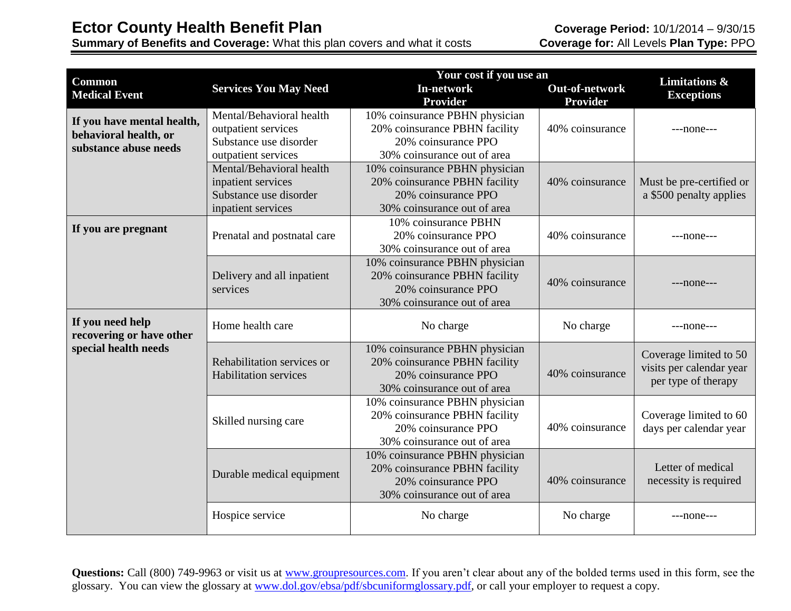**Summary of Benefits and Coverage:** What this plan covers and what it costs **Coverage for:** All Levels **Plan Type:** PPO

| <b>Common</b>                                |                                                            | Your cost if you use an<br><b>Limitations &amp;</b>                                                                   |                       |                                                                           |
|----------------------------------------------|------------------------------------------------------------|-----------------------------------------------------------------------------------------------------------------------|-----------------------|---------------------------------------------------------------------------|
| <b>Medical Event</b>                         | <b>Services You May Need</b>                               | <b>In-network</b>                                                                                                     | <b>Out-of-network</b> | <b>Exceptions</b>                                                         |
|                                              |                                                            | <b>Provider</b>                                                                                                       | <b>Provider</b>       |                                                                           |
| If you have mental health,                   | Mental/Behavioral health                                   | 10% coinsurance PBHN physician                                                                                        |                       |                                                                           |
| behavioral health, or                        | outpatient services                                        | 20% coinsurance PBHN facility                                                                                         | 40% coinsurance       | $---none---$                                                              |
| substance abuse needs                        | Substance use disorder                                     | 20% coinsurance PPO                                                                                                   |                       |                                                                           |
|                                              | outpatient services                                        | 30% coinsurance out of area                                                                                           |                       |                                                                           |
|                                              | Mental/Behavioral health                                   | 10% coinsurance PBHN physician                                                                                        |                       |                                                                           |
|                                              | inpatient services                                         | 20% coinsurance PBHN facility                                                                                         | 40% coinsurance       | Must be pre-certified or                                                  |
|                                              | Substance use disorder                                     | 20% coinsurance PPO                                                                                                   |                       | a \$500 penalty applies                                                   |
|                                              | inpatient services                                         | 30% coinsurance out of area                                                                                           |                       |                                                                           |
| If you are pregnant                          |                                                            | 10% coinsurance PBHN                                                                                                  |                       |                                                                           |
|                                              | Prenatal and postnatal care                                | 20% coinsurance PPO                                                                                                   | 40% coinsurance       | $---none---$                                                              |
|                                              |                                                            | 30% coinsurance out of area                                                                                           |                       |                                                                           |
|                                              |                                                            | 10% coinsurance PBHN physician                                                                                        |                       |                                                                           |
|                                              | Delivery and all inpatient                                 | 20% coinsurance PBHN facility                                                                                         | 40% coinsurance       | $---none---$                                                              |
|                                              | services                                                   | 20% coinsurance PPO                                                                                                   |                       |                                                                           |
|                                              |                                                            | 30% coinsurance out of area                                                                                           |                       |                                                                           |
| If you need help<br>recovering or have other | Home health care                                           | No charge                                                                                                             | No charge             | ---none---                                                                |
| special health needs                         | Rehabilitation services or<br><b>Habilitation services</b> | 10% coinsurance PBHN physician<br>20% coinsurance PBHN facility<br>20% coinsurance PPO<br>30% coinsurance out of area | 40% coinsurance       | Coverage limited to 50<br>visits per calendar year<br>per type of therapy |
|                                              | Skilled nursing care                                       | 10% coinsurance PBHN physician<br>20% coinsurance PBHN facility<br>20% coinsurance PPO<br>30% coinsurance out of area | 40% coinsurance       | Coverage limited to 60<br>days per calendar year                          |
|                                              | Durable medical equipment                                  | 10% coinsurance PBHN physician<br>20% coinsurance PBHN facility<br>20% coinsurance PPO<br>30% coinsurance out of area | 40% coinsurance       | Letter of medical<br>necessity is required                                |
|                                              | Hospice service                                            | No charge                                                                                                             | No charge             | $---none---$                                                              |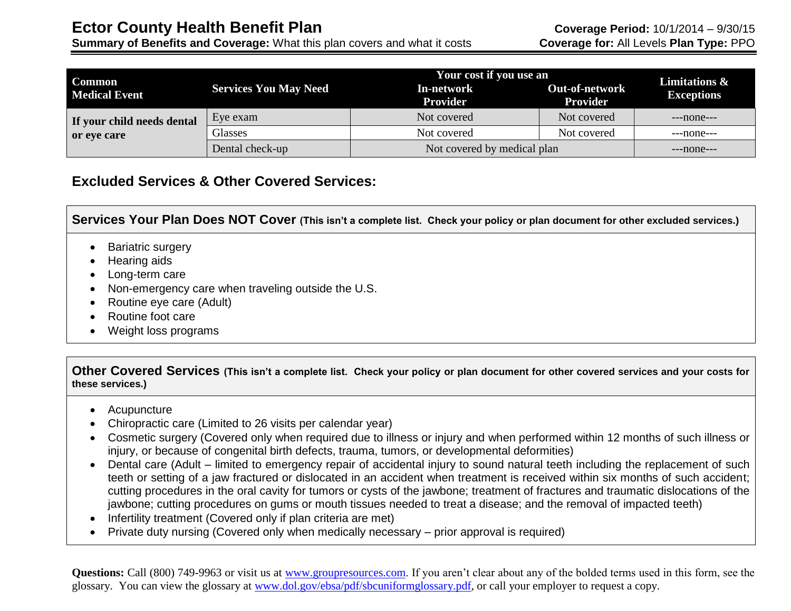**Summary of Benefits and Coverage:** What this plan covers and what it costs **Coverage for:** All Levels **Plan Type:** PPO

| <b>Common</b>              | Your cost if you use an      |                               |                                          | <b>Limitations &amp;</b> |  |
|----------------------------|------------------------------|-------------------------------|------------------------------------------|--------------------------|--|
| <b>Medical Event</b>       | <b>Services You May Need</b> | In-network<br><b>Provider</b> | <b>Out-of-network</b><br><b>Provider</b> | <b>Exceptions</b>        |  |
| If your child needs dental | Eye exam                     | Not covered                   | Not covered                              | $---none---$             |  |
| or eye care                | Glasses                      | Not covered                   | Not covered                              | $---none---$             |  |
|                            | Dental check-up              | Not covered by medical plan   |                                          | $---none---$             |  |

### **Excluded Services & Other Covered Services:**

**Services Your Plan Does NOT Cover (This isn't a complete list. Check your policy or plan document for other excluded services.)**

- Bariatric surgery
- Hearing aids
- Long-term care
- Non-emergency care when traveling outside the U.S.
- Routine eye care (Adult)
- Routine foot care
- Weight loss programs

**Other Covered Services (This isn't a complete list. Check your policy or plan document for other covered services and your costs for these services.)**

- Acupuncture
- Chiropractic care (Limited to 26 visits per calendar year)
- Cosmetic surgery (Covered only when required due to illness or injury and when performed within 12 months of such illness or injury, or because of congenital birth defects, trauma, tumors, or developmental deformities)
- Dental care (Adult limited to emergency repair of accidental injury to sound natural teeth including the replacement of such teeth or setting of a jaw fractured or dislocated in an accident when treatment is received within six months of such accident; cutting procedures in the oral cavity for tumors or cysts of the jawbone; treatment of fractures and traumatic dislocations of the jawbone; cutting procedures on gums or mouth tissues needed to treat a disease; and the removal of impacted teeth)
- Infertility treatment (Covered only if plan criteria are met)
- Private duty nursing (Covered only when medically necessary prior approval is required)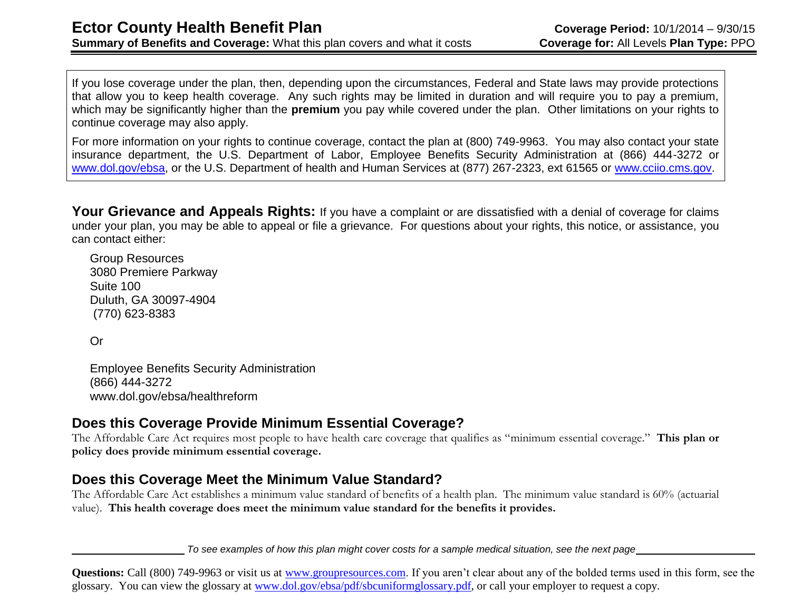If you lose coverage under the plan, then, depending upon the circumstances, Federal and State laws may provide protections that allow you to keep health coverage. Any such rights may be limited in duration and will require you to pay a premium, which may be significantly higher than the **premium** you pay while covered under the plan. Other limitations on your rights to continue coverage may also apply.

For more information on your rights to continue coverage, contact the plan at (800) 749-9963. You may also contact your state insurance department, the U.S. Department of Labor, Employee Benefits Security Administration at (866) 444-3272 or [www.dol.gov/ebsa,](http://www.dol.gov/ebsa) or the U.S. Department of health and Human Services at (877) 267-2323, ext 61565 or [www.cciio.cms.gov.](http://www.cciio.cms.gov/)

Your Grievance and Appeals Rights: If you have a complaint or are dissatisfied with a denial of coverage for claims under your plan, you may be able to appeal or file a grievance. For questions about your rights, this notice, or assistance, you can contact either:

Group Resources 3080 Premiere Parkway Suite 100 Duluth, GA 30097-4904 (770) 623-8383

Or

Employee Benefits Security Administration (866) 444-3272 www.dol.gov/ebsa/healthreform

### **Does this Coverage Provide Minimum Essential Coverage?**

The Affordable Care Act requires most people to have health care coverage that qualifies as "minimum essential coverage." **This plan or policy does provide minimum essential coverage.** 

### **Does this Coverage Meet the Minimum Value Standard?**

The Affordable Care Act establishes a minimum value standard of benefits of a health plan. The minimum value standard is 60% (actuarial value). **This health coverage does meet the minimum value standard for the benefits it provides.** 

*To see examples of how this plan might cover costs for a sample medical situation, see the next page*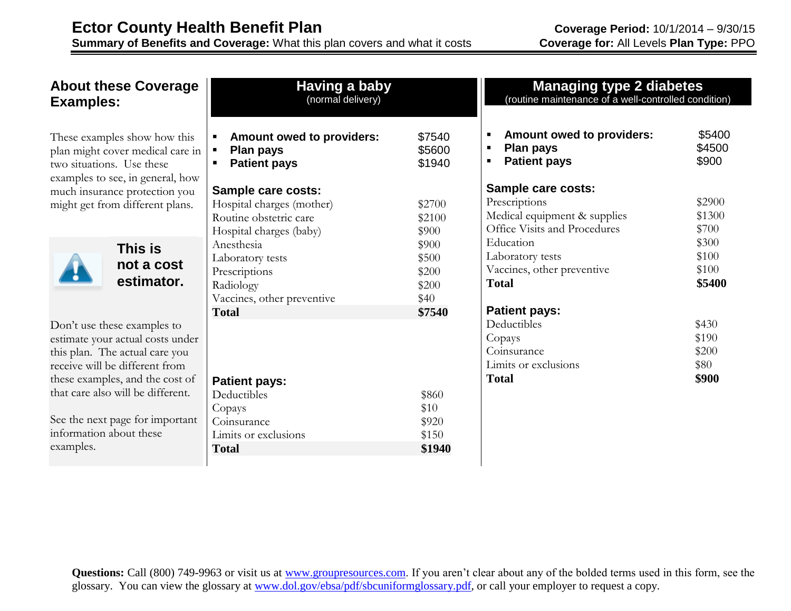### **About these Coverage Examples:**

These examples show how this plan might cover medical care in two situations. Use these examples to see, in general, how much insurance protection you might get from different plans.



**This is not a cost estimator.**

Don't use these examples to estimate your actual costs under this plan. The actual care you receive will be different from these examples, and the cost of that care also will be different.

See the next page for important information about these examples.

| Having a baby<br>(normal delivery)                                                                                                                                                                                 |                                                                                 |                                                                                                  |
|--------------------------------------------------------------------------------------------------------------------------------------------------------------------------------------------------------------------|---------------------------------------------------------------------------------|--------------------------------------------------------------------------------------------------|
| <b>Amount owed to providers:</b><br>٠<br>Plan pays<br>$\blacksquare$<br><b>Patient pays</b><br>▪                                                                                                                   | \$7540<br>\$5600<br>\$1940                                                      |                                                                                                  |
| Sample care costs:<br>Hospital charges (mother)<br>Routine obstetric care<br>Hospital charges (baby)<br>Anesthesia<br>Laboratory tests<br>Prescriptions<br>Radiology<br>Vaccines, other preventive<br><b>Total</b> | \$2700<br>\$2100<br>\$900<br>\$900<br>\$500<br>\$200<br>\$200<br>\$40<br>\$7540 | S<br>F<br>N<br>$\big($<br>E<br>$\mathbf I$<br>J<br>Ί<br>F<br>$\Gamma$<br>$\big($<br>$\big($<br>I |
| <b>Patient pays:</b><br>Deductibles<br>Copays<br>Coinsurance<br>Limits or exclusions<br><b>Total</b>                                                                                                               | \$860<br>\$10<br>\$920<br>\$150<br>\$1940                                       | I                                                                                                |

| <b>Managing type 2 diabetes</b><br>(routine maintenance of a well-controlled condition)                              |                           |  |  |
|----------------------------------------------------------------------------------------------------------------------|---------------------------|--|--|
| <b>Amount owed to providers:</b><br>$\blacksquare$<br><b>Plan pays</b><br>$\blacksquare$<br><b>Patient pays</b><br>٠ | \$5400<br>\$4500<br>\$900 |  |  |
| Sample care costs:                                                                                                   |                           |  |  |
| Prescriptions                                                                                                        | \$2900                    |  |  |
| Medical equipment & supplies                                                                                         | \$1300                    |  |  |
| Office Visits and Procedures                                                                                         | \$700                     |  |  |
| Education                                                                                                            | \$300                     |  |  |
| Laboratory tests                                                                                                     | \$100                     |  |  |
| Vaccines, other preventive                                                                                           | \$100                     |  |  |
| <b>Total</b>                                                                                                         | \$5400                    |  |  |
| <b>Patient pays:</b>                                                                                                 |                           |  |  |
| Deductibles                                                                                                          | \$430                     |  |  |
| Copays                                                                                                               | \$190                     |  |  |
| Coinsurance                                                                                                          | \$200                     |  |  |
| Limits or exclusions                                                                                                 | \$80                      |  |  |
| <b>Total</b>                                                                                                         | \$900                     |  |  |
|                                                                                                                      |                           |  |  |